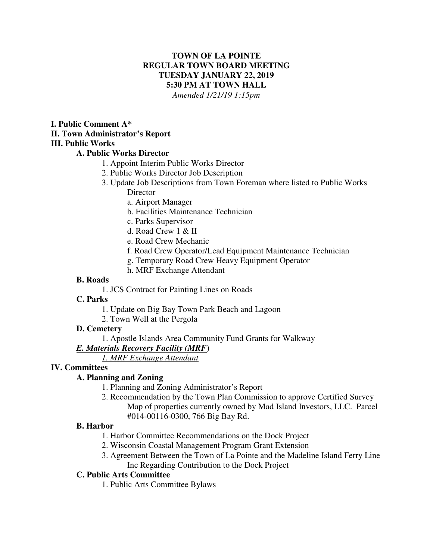## **TOWN OF LA POINTE REGULAR TOWN BOARD MEETING TUESDAY JANUARY 22, 2019 5:30 PM AT TOWN HALL**  *Amended 1/21/19 1:15pm*

### **I. Public Comment A\* II. Town Administrator's Report III. Public Works**

# **A. Public Works Director**

- 1. Appoint Interim Public Works Director
- 2. Public Works Director Job Description
- 3. Update Job Descriptions from Town Foreman where listed to Public Works **Director** 
	- a. Airport Manager
	- b. Facilities Maintenance Technician
	- c. Parks Supervisor
	- d. Road Crew 1 & II
	- e. Road Crew Mechanic
	- f. Road Crew Operator/Lead Equipment Maintenance Technician
	- g. Temporary Road Crew Heavy Equipment Operator

### h. MRF Exchange Attendant

## **B. Roads**

1. JCS Contract for Painting Lines on Roads

# **C. Parks**

- 1. Update on Big Bay Town Park Beach and Lagoon
- 2. Town Well at the Pergola

# **D. Cemetery**

1. Apostle Islands Area Community Fund Grants for Walkway

# *E. Materials Recovery Facility (MRF*)

# *1. MRF Exchange Attendant*

### **IV. Committees**

# **A. Planning and Zoning**

- 1. Planning and Zoning Administrator's Report
- 2. Recommendation by the Town Plan Commission to approve Certified Survey Map of properties currently owned by Mad Island Investors, LLC. Parcel #014-00116-0300, 766 Big Bay Rd.

### **B. Harbor**

- 1. Harbor Committee Recommendations on the Dock Project
- 2. Wisconsin Coastal Management Program Grant Extension
- 3. Agreement Between the Town of La Pointe and the Madeline Island Ferry Line Inc Regarding Contribution to the Dock Project

### **C. Public Arts Committee**

1. Public Arts Committee Bylaws